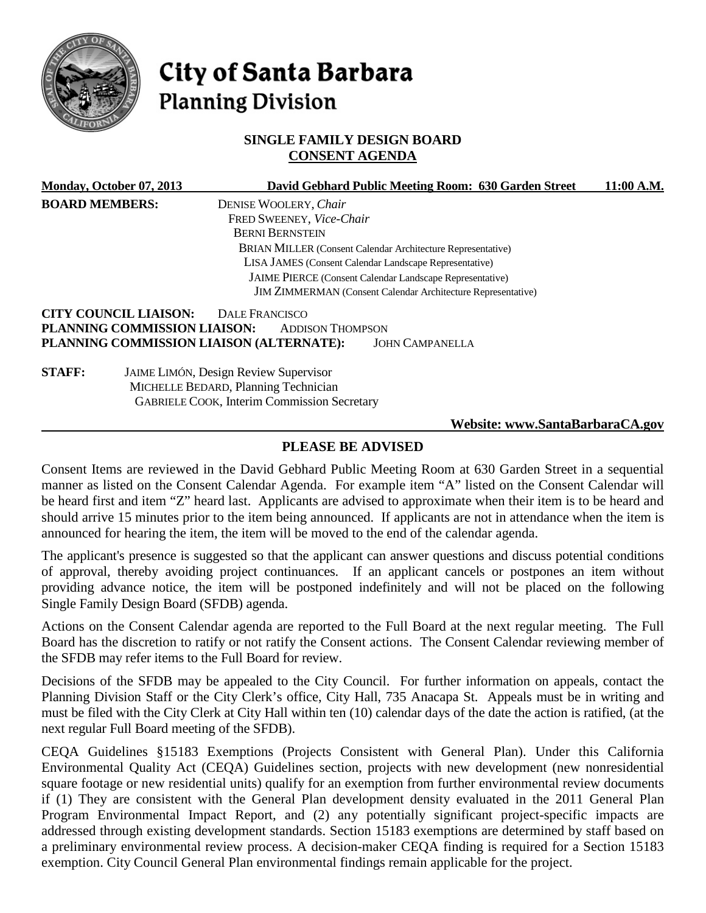

# City of Santa Barbara **Planning Division**

## **SINGLE FAMILY DESIGN BOARD CONSENT AGENDA**

|                       | Monday, October 07, 2013     | David Gebhard Public Meeting Room: 630 Garden Street                | 11:00 A.M. |
|-----------------------|------------------------------|---------------------------------------------------------------------|------------|
| <b>BOARD MEMBERS:</b> |                              | DENISE WOOLERY, Chair                                               |            |
|                       |                              | FRED SWEENEY, Vice-Chair                                            |            |
|                       |                              | <b>BERNI BERNSTEIN</b>                                              |            |
|                       |                              | <b>BRIAN MILLER (Consent Calendar Architecture Representative)</b>  |            |
|                       |                              | <b>LISA JAMES</b> (Consent Calendar Landscape Representative)       |            |
|                       |                              | JAIME PIERCE (Consent Calendar Landscape Representative)            |            |
|                       |                              | <b>JIM ZIMMERMAN</b> (Consent Calendar Architecture Representative) |            |
|                       | <b>CITY COUNCIL LIAISON:</b> | DALE FRANCISCO                                                      |            |
|                       | PLANNING COMMISSION LIAISON: | <b>ADDISON THOMPSON</b>                                             |            |
|                       |                              | PLANNING COMMISSION LIAISON (ALTERNATE):<br><b>JOHN CAMPANELLA</b>  |            |
| <b>STAFF:</b>         |                              | JAIME LIMÓN, Design Review Supervisor                               |            |
|                       |                              | MICHELLE BEDARD, Planning Technician                                |            |
|                       |                              | <b>GABRIELE COOK, Interim Commission Secretary</b>                  |            |
|                       |                              | Website: www.SantaBarbaraCA.gov                                     |            |

# **PLEASE BE ADVISED**

Consent Items are reviewed in the David Gebhard Public Meeting Room at 630 Garden Street in a sequential manner as listed on the Consent Calendar Agenda. For example item "A" listed on the Consent Calendar will be heard first and item "Z" heard last. Applicants are advised to approximate when their item is to be heard and should arrive 15 minutes prior to the item being announced. If applicants are not in attendance when the item is announced for hearing the item, the item will be moved to the end of the calendar agenda.

The applicant's presence is suggested so that the applicant can answer questions and discuss potential conditions of approval, thereby avoiding project continuances. If an applicant cancels or postpones an item without providing advance notice, the item will be postponed indefinitely and will not be placed on the following Single Family Design Board (SFDB) agenda.

Actions on the Consent Calendar agenda are reported to the Full Board at the next regular meeting. The Full Board has the discretion to ratify or not ratify the Consent actions. The Consent Calendar reviewing member of the SFDB may refer items to the Full Board for review.

Decisions of the SFDB may be appealed to the City Council. For further information on appeals, contact the Planning Division Staff or the City Clerk's office, City Hall, 735 Anacapa St. Appeals must be in writing and must be filed with the City Clerk at City Hall within ten (10) calendar days of the date the action is ratified, (at the next regular Full Board meeting of the SFDB).

CEQA Guidelines §15183 Exemptions (Projects Consistent with General Plan). Under this California Environmental Quality Act (CEQA) Guidelines section, projects with new development (new nonresidential square footage or new residential units) qualify for an exemption from further environmental review documents if (1) They are consistent with the General Plan development density evaluated in the 2011 General Plan Program Environmental Impact Report, and (2) any potentially significant project-specific impacts are addressed through existing development standards. Section 15183 exemptions are determined by staff based on a preliminary environmental review process. A decision-maker CEQA finding is required for a Section 15183 exemption. City Council General Plan environmental findings remain applicable for the project.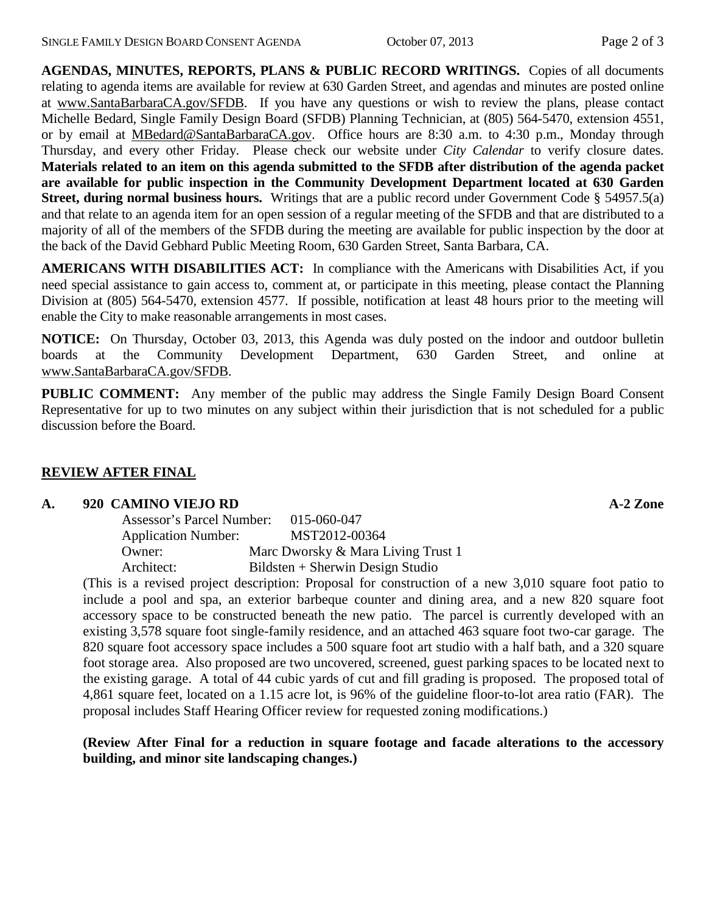**AGENDAS, MINUTES, REPORTS, PLANS & PUBLIC RECORD WRITINGS.** Copies of all documents relating to agenda items are available for review at 630 Garden Street, and agendas and minutes are posted online at [www.SantaBarbaraCA.gov/SFDB.](http://www.santabarbaraca.gov/ABR) If you have any questions or wish to review the plans, please contact Michelle Bedard, Single Family Design Board (SFDB) Planning Technician, at (805) 564-5470, extension 4551, or by email at [MBedard@SantaBarbaraCA.gov.](mailto:MBedard@SantaBarbaraCA.gov) Office hours are 8:30 a.m. to 4:30 p.m., Monday through Thursday, and every other Friday. Please check our website under *City Calendar* to verify closure dates. **Materials related to an item on this agenda submitted to the SFDB after distribution of the agenda packet are available for public inspection in the Community Development Department located at 630 Garden Street, during normal business hours.** Writings that are a public record under Government Code § 54957.5(a) and that relate to an agenda item for an open session of a regular meeting of the SFDB and that are distributed to a majority of all of the members of the SFDB during the meeting are available for public inspection by the door at the back of the David Gebhard Public Meeting Room, 630 Garden Street, Santa Barbara, CA.

**AMERICANS WITH DISABILITIES ACT:** In compliance with the Americans with Disabilities Act, if you need special assistance to gain access to, comment at, or participate in this meeting, please contact the Planning Division at (805) 564-5470, extension 4577. If possible, notification at least 48 hours prior to the meeting will enable the City to make reasonable arrangements in most cases.

**NOTICE:** On Thursday, October 03, 2013, this Agenda was duly posted on the indoor and outdoor bulletin boards at the Community Development Department, 630 Garden Street, and online at [www.SantaBarbaraCA.gov/SFDB.](http://www.santabarbaraca.gov/sfdb)

**PUBLIC COMMENT:** Any member of the public may address the Single Family Design Board Consent Representative for up to two minutes on any subject within their jurisdiction that is not scheduled for a public discussion before the Board.

## **REVIEW AFTER FINAL**

#### **A. 920 CAMINO VIEJO RD A-2 Zone**

| Assessor's Parcel Number:  | 015-060-047                        |
|----------------------------|------------------------------------|
| <b>Application Number:</b> | MST2012-00364                      |
| Owner:                     | Marc Dworsky & Mara Living Trust 1 |
| Architect:                 | Bildsten + Sherwin Design Studio   |

(This is a revised project description: Proposal for construction of a new 3,010 square foot patio to include a pool and spa, an exterior barbeque counter and dining area, and a new 820 square foot accessory space to be constructed beneath the new patio. The parcel is currently developed with an existing 3,578 square foot single-family residence, and an attached 463 square foot two-car garage. The 820 square foot accessory space includes a 500 square foot art studio with a half bath, and a 320 square foot storage area. Also proposed are two uncovered, screened, guest parking spaces to be located next to the existing garage. A total of 44 cubic yards of cut and fill grading is proposed. The proposed total of 4,861 square feet, located on a 1.15 acre lot, is 96% of the guideline floor-to-lot area ratio (FAR). The proposal includes Staff Hearing Officer review for requested zoning modifications.)

### **(Review After Final for a reduction in square footage and facade alterations to the accessory building, and minor site landscaping changes.)**